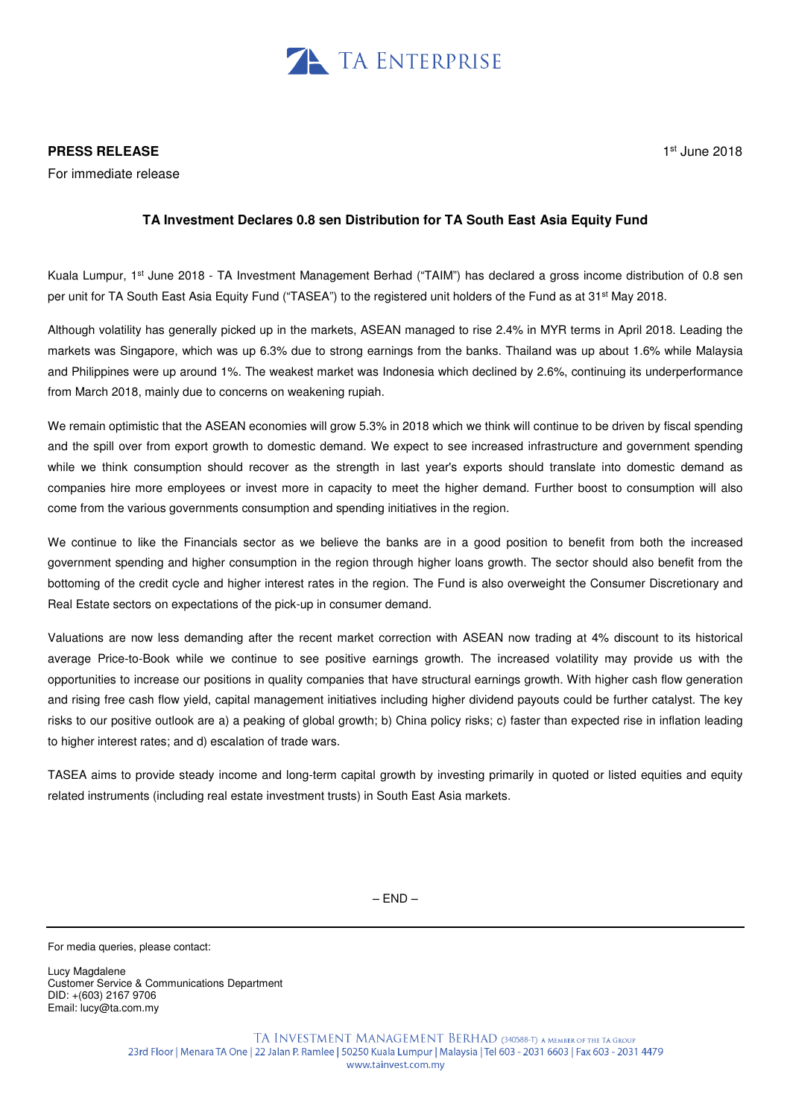

For immediate release

# 1 st June 2018

## **TA Investment Declares 0.8 sen Distribution for TA South East Asia Equity Fund**

Kuala Lumpur, 1<sup>st</sup> June 2018 - TA Investment Management Berhad ("TAIM") has declared a gross income distribution of 0.8 sen per unit for TA South East Asia Equity Fund ("TASEA") to the registered unit holders of the Fund as at 31<sup>st</sup> May 2018.

Although volatility has generally picked up in the markets, ASEAN managed to rise 2.4% in MYR terms in April 2018. Leading the markets was Singapore, which was up 6.3% due to strong earnings from the banks. Thailand was up about 1.6% while Malaysia and Philippines were up around 1%. The weakest market was Indonesia which declined by 2.6%, continuing its underperformance from March 2018, mainly due to concerns on weakening rupiah.

We remain optimistic that the ASEAN economies will grow 5.3% in 2018 which we think will continue to be driven by fiscal spending and the spill over from export growth to domestic demand. We expect to see increased infrastructure and government spending while we think consumption should recover as the strength in last year's exports should translate into domestic demand as companies hire more employees or invest more in capacity to meet the higher demand. Further boost to consumption will also come from the various governments consumption and spending initiatives in the region.

We continue to like the Financials sector as we believe the banks are in a good position to benefit from both the increased government spending and higher consumption in the region through higher loans growth. The sector should also benefit from the bottoming of the credit cycle and higher interest rates in the region. The Fund is also overweight the Consumer Discretionary and Real Estate sectors on expectations of the pick-up in consumer demand.

Valuations are now less demanding after the recent market correction with ASEAN now trading at 4% discount to its historical average Price-to-Book while we continue to see positive earnings growth. The increased volatility may provide us with the opportunities to increase our positions in quality companies that have structural earnings growth. With higher cash flow generation and rising free cash flow yield, capital management initiatives including higher dividend payouts could be further catalyst. The key risks to our positive outlook are a) a peaking of global growth; b) China policy risks; c) faster than expected rise in inflation leading to higher interest rates; and d) escalation of trade wars.

TASEA aims to provide steady income and long-term capital growth by investing primarily in quoted or listed equities and equity related instruments (including real estate investment trusts) in South East Asia markets.

 $-$  END  $-$ 

For media queries, please contact:

Lucy Magdalene Customer Service & Communications Department DID: +(603) 2167 9706 Email: lucy@ta.com.my